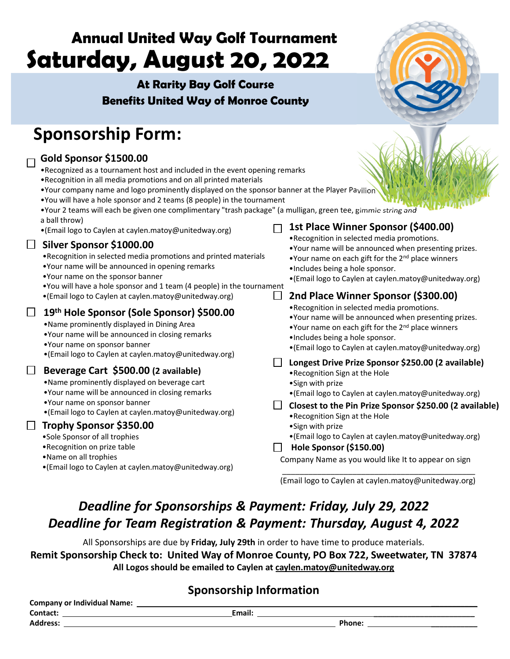# **Annual United Way Golf Tournament Saturday, August 20, 2022**

## **At Rarity Bay Golf Course Benefits United Way of Monroe County**



# **Sponsorship Form:**

**Gold Sponsor \$1500.00**

#### •Recognized as a tournament host and included in the event opening remarks •Recognition in all media promotions and on all printed materials •Your company name and logo prominently displayed on the sponsor banner at the Player Pavilion •You will have a hole sponsor and 2 teams (8 people) in the tournament •Your 2 teams will each be given one complimentary "trash package" (a mulligan, green tee, gimmie string and a ball throw) **1st Place Winner Sponsor (\$400.00)**  $\Box$ •(Email logo to Caylen at caylen.matoy@unitedway.org) •Recognition in selected media promotions. **Silver Sponsor \$1000.00** •Your name will be announced when presenting prizes. •Recognition in selected media promotions and printed materials •Your name on each gift for the 2<sup>nd</sup> place winners •Your name will be announced in opening remarks •Includes being a hole sponsor. •Your name on the sponsor banner •(Email logo to Caylen at caylen.matoy@unitedway.org) •You will have a hole sponsor and 1 team (4 people) in the tournament •(Email logo to Caylen at caylen.matoy@unitedway.org)  $\mathbf{1}$ **2nd Place Winner Sponsor (\$300.00)** •Recognition in selected media promotions. **19th Hole Sponsor (Sole Sponsor) \$500.00** •Your name will be announced when presenting prizes. •Name prominently displayed in Dining Area •Your name on each gift for the  $2^{nd}$  place winners •Your name will be announced in closing remarks •Includes being a hole sponsor. •Your name on sponsor banner •(Email logo to Caylen at caylen.matoy@unitedway.org) •(Email logo to Caylen at caylen.matoy@unitedway.org) **Longest Drive Prize Sponsor \$250.00 (2 available) Beverage Cart \$500.00 (2 available)** •Recognition Sign at the Hole •Name prominently displayed on beverage cart •Sign with prize •Your name will be announced in closing remarks •(Email logo to Caylen at caylen.matoy@unitedway.org) •Your name on sponsor banner **Closest to the Pin Prize Sponsor \$250.00 (2 available)** •(Email logo to Caylen at caylen.matoy@unitedway.org)•Recognition Sign at the Hole **Trophy Sponsor \$350.00** •Sign with prize •Sole Sponsor of all trophies •(Email logo to Caylen at caylen.matoy@unitedway.org) •Recognition on prize table **Hole Sponsor (\$150.00)** •Name on all trophies Company Name as you would like It to appear on sign •(Email logo to Caylen at caylen.matoy@unitedway.org) \_\_\_\_\_\_\_\_\_\_\_\_\_\_\_\_\_\_\_\_\_\_\_\_\_\_\_\_\_\_\_\_\_\_\_\_\_\_\_\_\_\_\_\_ (Email logo to Caylen at caylen.matoy@unitedway.org)

# *Deadline for Sponsorships & Payment: Friday, July 29, 2022 Deadline for Team Registration & Payment: Thursday, August 4, 2022*

All Sponsorships are due by **Friday, July 29th** in order to have time to produce materials. **Remit Sponsorship Check to: United Way of Monroe County, PO Box 722, Sweetwater, TN 37874 All Logos should be emailed to Caylen at caylen.matoy@unitedway.org**

### **Sponsorship Information**

| <b>Company or Individual Name:</b> |  |        |        |  |  |  |  |  |
|------------------------------------|--|--------|--------|--|--|--|--|--|
| Contact:                           |  | Email: |        |  |  |  |  |  |
| <b>Address:</b>                    |  |        | Phone: |  |  |  |  |  |
|                                    |  |        |        |  |  |  |  |  |